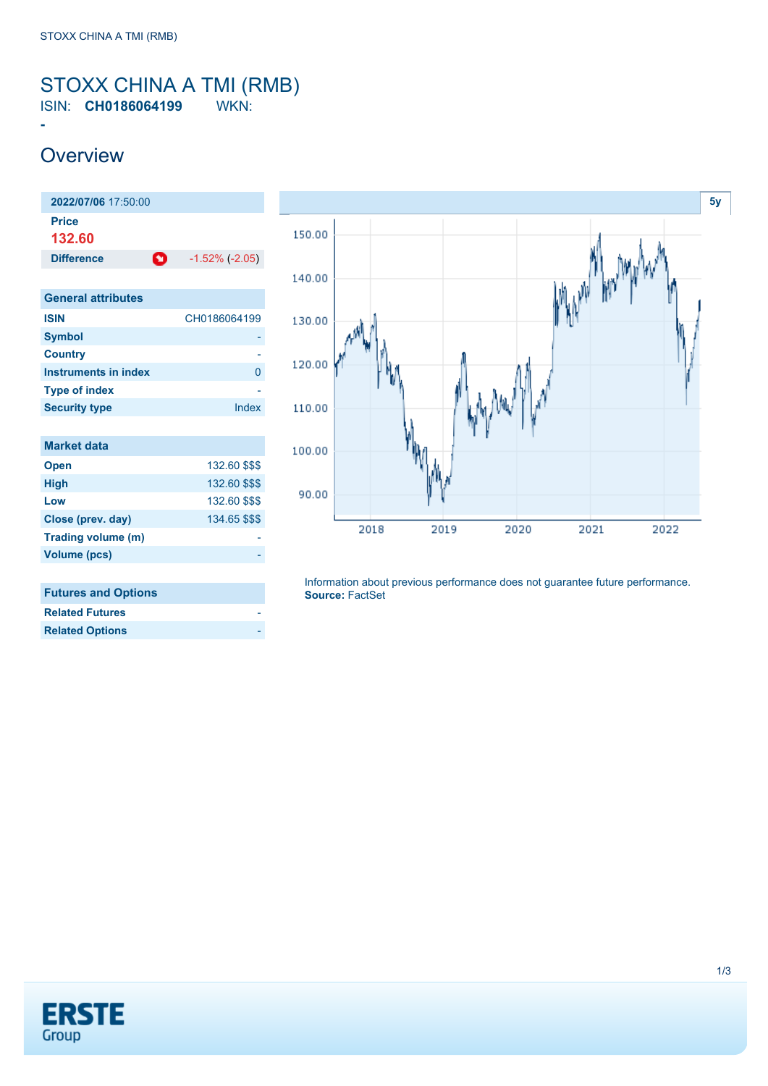#### <span id="page-0-0"></span>STOXX CHINA A TMI (RMB) ISIN: **CH0186064199** WKN:

## **Overview**

**-**

| 2022/07/06 17:50:00         |                       |
|-----------------------------|-----------------------|
| <b>Price</b>                |                       |
| 132.60                      |                       |
| o<br><b>Difference</b>      | $-1.52\%$ ( $-2.05$ ) |
|                             |                       |
| <b>General attributes</b>   |                       |
| <b>ISIN</b>                 | CH0186064199          |
| <b>Symbol</b>               |                       |
| <b>Country</b>              |                       |
| <b>Instruments in index</b> | 0                     |
| <b>Type of index</b>        |                       |
| <b>Security type</b>        | Index                 |
|                             |                       |
| <b>Market data</b>          |                       |
| <b>Open</b>                 | 132.60 \$\$\$         |
| <b>High</b>                 | 132.60 \$\$\$         |
| Low                         | 132.60 \$\$\$         |
| Close (prev. day)           | 134.65 \$\$\$         |
| Trading volume (m)          |                       |
| <b>Volume (pcs)</b>         |                       |
|                             |                       |
| <b>Futures and Options</b>  |                       |



| <b>Related Futures</b> |  |
|------------------------|--|
| <b>Related Options</b> |  |

Information about previous performance does not guarantee future performance. **Source:** FactSet

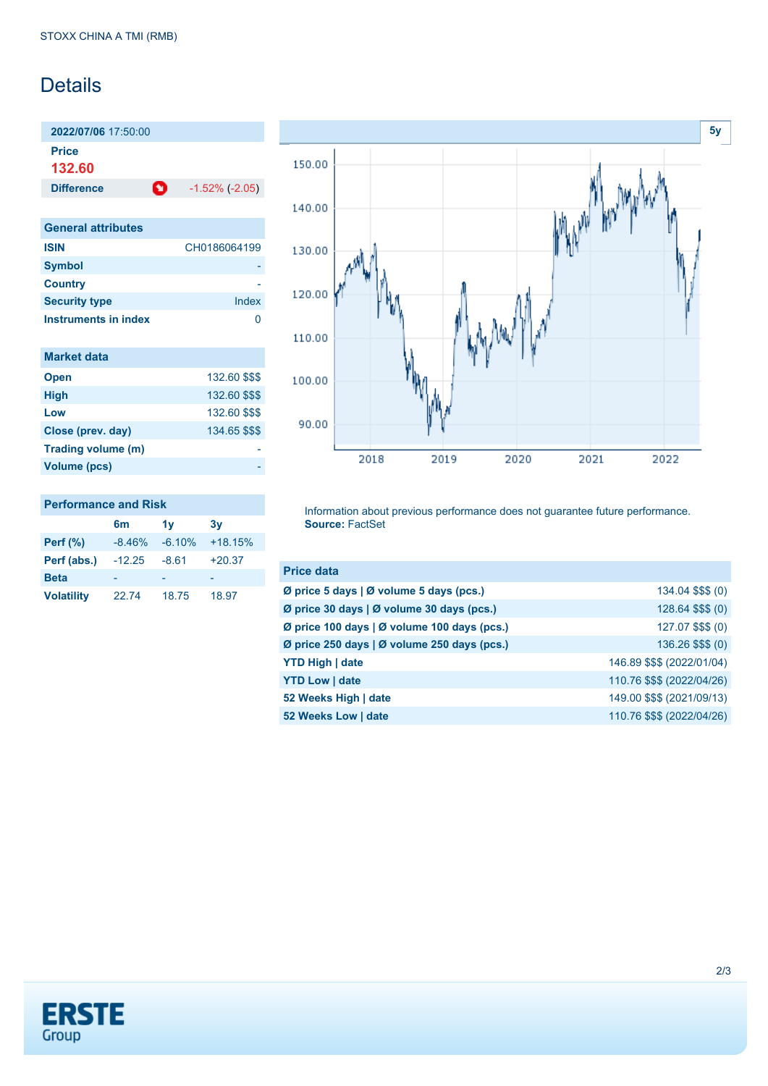### **Details**

**2022/07/06** 17:50:00 **Price 132.60**

**Difference 1.52% (-2.05)** 

| <b>General attributes</b> |              |
|---------------------------|--------------|
| <b>ISIN</b>               | CH0186064199 |
| <b>Symbol</b>             |              |
| <b>Country</b>            |              |
| <b>Security type</b>      | Index        |
| Instruments in index      |              |

| <b>Market data</b> |               |
|--------------------|---------------|
| <b>Open</b>        | 132.60 \$\$\$ |
| <b>High</b>        | 132.60 \$\$\$ |
| Low                | 132.60 \$\$\$ |
| Close (prev. day)  | 134.65 \$\$\$ |
| Trading volume (m) |               |
| Volume (pcs)       |               |



#### **Performance and Risk**

|                   | 6m       | 1v       | 3v        |
|-------------------|----------|----------|-----------|
| <b>Perf</b> (%)   | $-8.46%$ | $-6.10%$ | $+18.15%$ |
| Perf (abs.)       | $-12.25$ | $-8.61$  | $+20.37$  |
| <b>Beta</b>       |          |          |           |
| <b>Volatility</b> | 22.74    | 18.75    | 18.97     |

Information about previous performance does not guarantee future performance. **Source:** FactSet

| <b>Price data</b>                           |                            |
|---------------------------------------------|----------------------------|
| Ø price 5 days   Ø volume 5 days (pcs.)     | 134.04 \$\$\$ (0)          |
| Ø price 30 days   Ø volume 30 days (pcs.)   | 128.64 \$\$\$ (0)          |
| Ø price 100 days   Ø volume 100 days (pcs.) | 127.07 \$\$\$ (0)          |
| Ø price 250 days   Ø volume 250 days (pcs.) | 136.26 \$\$\$ (0)          |
| <b>YTD High   date</b>                      | 146.89 \$\$\$ (2022/01/04) |
| <b>YTD Low   date</b>                       | 110.76 \$\$\$ (2022/04/26) |
| 52 Weeks High   date                        | 149.00 \$\$\$ (2021/09/13) |
| 52 Weeks Low   date                         | 110.76 \$\$\$ (2022/04/26) |